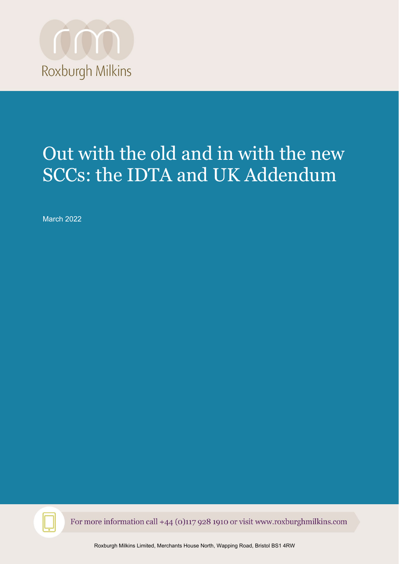

# Out with the old and in with the new SCCs: the IDTA and UK Addendum

March 2022



For more information call +44 (0)117 928 1910 or visit www.roxburghmilkins.com

Roxburgh Milkins Limited, Merchants House North, Wapping Road, Bristol BS1 4RW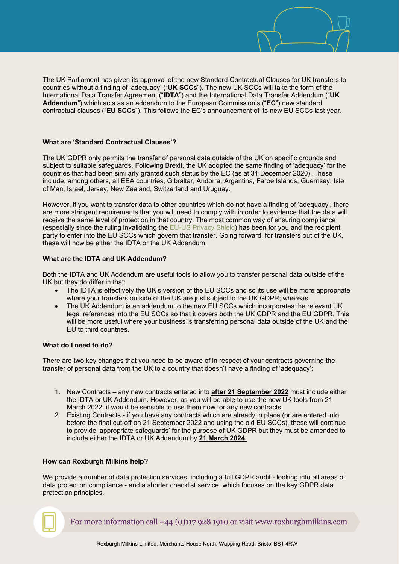The UK Parliament has given its approval of the new Standard Contractual Clauses for UK transfers to countries without a finding of 'adequacy' ("**UK SCCs**"). The new UK SCCs will take the form of the International Data Transfer Agreement ("**IDTA**") and the International Data Transfer Addendum ("**UK Addendum**") which acts as an addendum to the European Commission's ("**EC**") new standard contractual clauses ("**EU SCCs**"). This follows the EC's announcement of its new EU SCCs last year.

### **What are 'Standard Contractual Clauses'?**

The UK GDPR only permits the transfer of personal data outside of the UK on specific grounds and subject to suitable safeguards. Following Brexit, the UK adopted the same finding of 'adequacy' for the countries that had been similarly granted such status by the EC (as at 31 December 2020). These include, among others, all EEA countries, Gibraltar, Andorra, Argentina, Faroe Islands, Guernsey, Isle of Man, Israel, Jersey, New Zealand, Switzerland and Uruguay.

However, if you want to transfer data to other countries which do not have a finding of 'adequacy', there are more stringent requirements that you will need to comply with in order to evidence that the data will receive the same level of protection in that country. The most common way of ensuring compliance (especially since the ruling invalidating the [EU-US Privacy Shield\)](https://www.roxburghmilkins.com/latest/blog-articles/eu-us-privacy-shield-struck-down-by-eu-courts) has been for you and the recipient party to enter into the EU SCCs which govern that transfer. Going forward, for transfers out of the UK, these will now be either the IDTA or the UK Addendum.

## **What are the IDTA and UK Addendum?**

Both the IDTA and UK Addendum are useful tools to allow you to transfer personal data outside of the UK but they do differ in that:

- The IDTA is effectively the UK's version of the EU SCCs and so its use will be more appropriate where your transfers outside of the UK are just subject to the UK GDPR; whereas
- The UK Addendum is an addendum to the new EU SCCs which incorporates the relevant UK legal references into the EU SCCs so that it covers both the UK GDPR and the EU GDPR. This will be more useful where your business is transferring personal data outside of the UK and the EU to third countries.

# **What do I need to do?**

There are two key changes that you need to be aware of in respect of your contracts governing the transfer of personal data from the UK to a country that doesn't have a finding of 'adequacy':

- 1. New Contracts any new contracts entered into **after 21 September 2022** must include either the IDTA or UK Addendum. However, as you will be able to use the new UK tools from 21 March 2022, it would be sensible to use them now for any new contracts.
- 2. Existing Contracts if you have any contracts which are already in place (or are entered into before the final cut-off on 21 September 2022 and using the old EU SCCs), these will continue to provide 'appropriate safeguards' for the purpose of UK GDPR but they must be amended to include either the IDTA or UK Addendum by **21 March 2024.**

### **How can Roxburgh Milkins help?**

We provide a number of data protection services, including a full GDPR audit - looking into all areas of data protection compliance - and a shorter checklist service, which focuses on the key GDPR data protection principles.

For more information call  $+44$  (0)117 928 1910 or visit www.roxburghmilkins.com